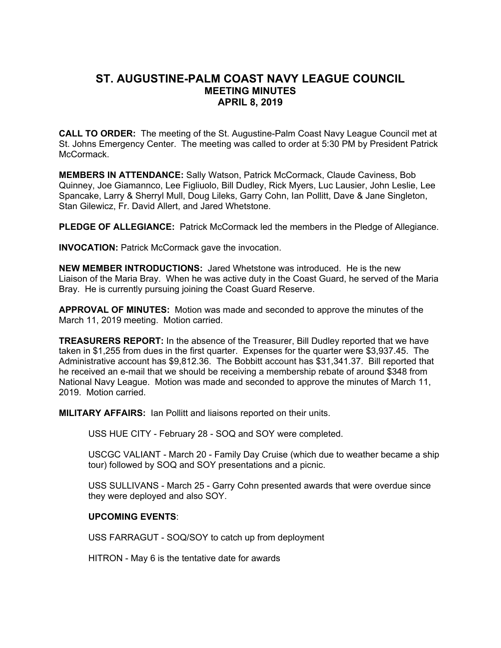## **ST. AUGUSTINE-PALM COAST NAVY LEAGUE COUNCIL MEETING MINUTES APRIL 8, 2019**

**CALL TO ORDER:** The meeting of the St. Augustine-Palm Coast Navy League Council met at St. Johns Emergency Center. The meeting was called to order at 5:30 PM by President Patrick McCormack.

**MEMBERS IN ATTENDANCE:** Sally Watson, Patrick McCormack, Claude Caviness, Bob Quinney, Joe Giamannco, Lee Figliuolo, Bill Dudley, Rick Myers, Luc Lausier, John Leslie, Lee Spancake, Larry & Sherryl Mull, Doug Lileks, Garry Cohn, Ian Pollitt, Dave & Jane Singleton, Stan Gilewicz, Fr. David Allert, and Jared Whetstone.

**PLEDGE OF ALLEGIANCE:** Patrick McCormack led the members in the Pledge of Allegiance.

**INVOCATION:** Patrick McCormack gave the invocation.

**NEW MEMBER INTRODUCTIONS:** Jared Whetstone was introduced. He is the new Liaison of the Maria Bray. When he was active duty in the Coast Guard, he served of the Maria Bray. He is currently pursuing joining the Coast Guard Reserve.

**APPROVAL OF MINUTES:** Motion was made and seconded to approve the minutes of the March 11, 2019 meeting. Motion carried.

**TREASURERS REPORT:** In the absence of the Treasurer, Bill Dudley reported that we have taken in \$1,255 from dues in the first quarter. Expenses for the quarter were \$3,937.45. The Administrative account has \$9,812.36. The Bobbitt account has \$31,341.37. Bill reported that he received an e-mail that we should be receiving a membership rebate of around \$348 from National Navy League. Motion was made and seconded to approve the minutes of March 11, 2019. Motion carried.

**MILITARY AFFAIRS:** Ian Pollitt and liaisons reported on their units.

USS HUE CITY - February 28 - SOQ and SOY were completed.

USCGC VALIANT - March 20 - Family Day Cruise (which due to weather became a ship tour) followed by SOQ and SOY presentations and a picnic.

USS SULLIVANS - March 25 - Garry Cohn presented awards that were overdue since they were deployed and also SOY.

## **UPCOMING EVENTS**:

USS FARRAGUT - SOQ/SOY to catch up from deployment

HITRON - May 6 is the tentative date for awards